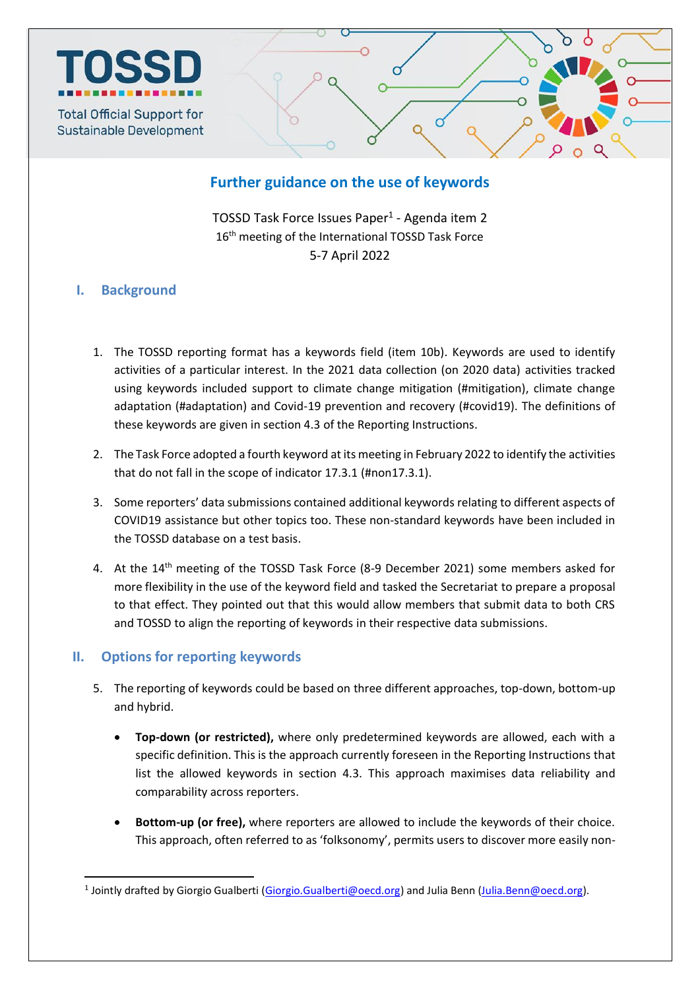

# **Further guidance on the use of keywords**

TOSSD Task Force Issues Paper<sup>1</sup> - Agenda item 2 16<sup>th</sup> meeting of the International TOSSD Task Force 5-7 April 2022

## **I. Background**

- 1. The TOSSD reporting format has a keywords field (item 10b). Keywords are used to identify activities of a particular interest. In the 2021 data collection (on 2020 data) activities tracked using keywords included support to climate change mitigation (#mitigation), climate change adaptation (#adaptation) and Covid-19 prevention and recovery (#covid19). The definitions of these keywords are given in section 4.3 of the Reporting Instructions.
- 2. The Task Force adopted a fourth keyword at its meeting in February 2022 to identify the activities that do not fall in the scope of indicator 17.3.1 (#non17.3.1).
- 3. Some reporters' data submissions contained additional keywords relating to different aspects of COVID19 assistance but other topics too. These non-standard keywords have been included in the TOSSD database on a test basis.
- 4. At the 14<sup>th</sup> meeting of the TOSSD Task Force (8-9 December 2021) some members asked for more flexibility in the use of the keyword field and tasked the Secretariat to prepare a proposal to that effect. They pointed out that this would allow members that submit data to both CRS and TOSSD to align the reporting of keywords in their respective data submissions.

## **II. Options for reporting keywords**

1

- 5. The reporting of keywords could be based on three different approaches, top-down, bottom-up and hybrid.
	- **Top-down (or restricted),** where only predetermined keywords are allowed, each with a specific definition. This is the approach currently foreseen in the Reporting Instructions that list the allowed keywords in section 4.3. This approach maximises data reliability and comparability across reporters.
	- **Bottom-up (or free),** where reporters are allowed to include the keywords of their choice. This approach, often referred to as 'folksonomy', permits users to discover more easily non-

<sup>&</sup>lt;sup>1</sup> Jointly drafted by Giorgio Gualberti [\(Giorgio.Gualberti@oecd.org\)](mailto:Giorgio.Gualberti@oecd.org) and Julia Benn [\(Julia.Benn@oecd.org\)](mailto:Julia.Benn@oecd.org).